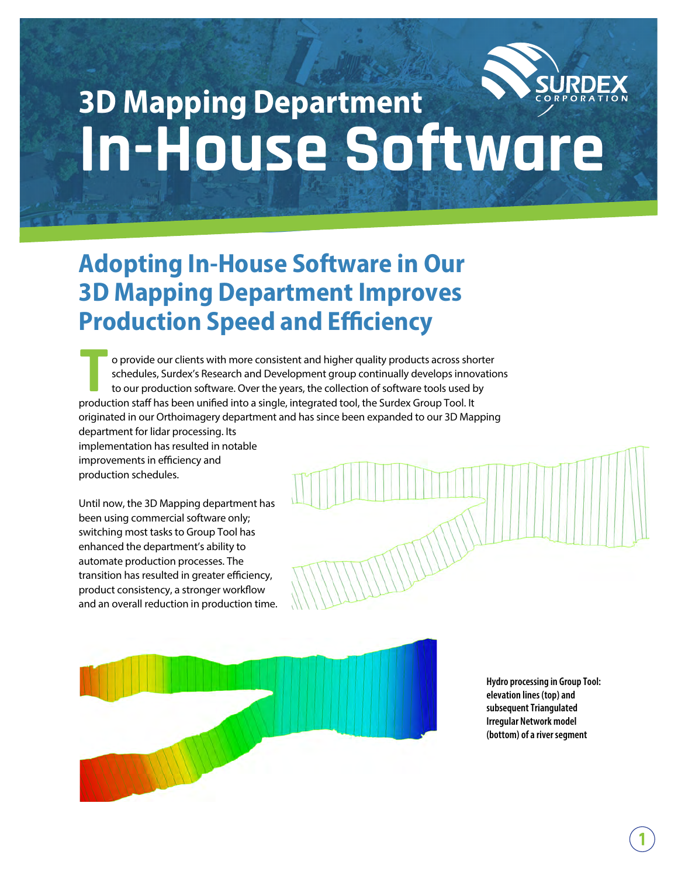

# **3D Mapping Department In-House Software**

## **Adopting In-House Software in Our 3D Mapping Department Improves Production Speed and Efficiency**

o provide our clients with more consistent and higher quality products across shorter schedules, Surdex's Research and Development group continually develops innovations to our production software. Over the years, the collection of software tools used by o provide our clients with more consistent and higher quality products across sho<br>schedules, Surdex's Research and Development group continually develops inno<br>to our production software. Over the years, the collection of s originated in our Orthoimagery department and has since been expanded to our 3D Mapping department for lidar processing. Its

implementation has resulted in notable improvements in efficiency and production schedules.

Until now, the 3D Mapping department has been using commercial software only; switching most tasks to Group Tool has enhanced the department's ability to automate production processes. The transition has resulted in greater efficiency, product consistency, a stronger workflow and an overall reduction in production time.



**Hydro processing in Group Tool: elevation lines (top) and subsequent Triangulated Irregular Network model (bottom) of a river segment**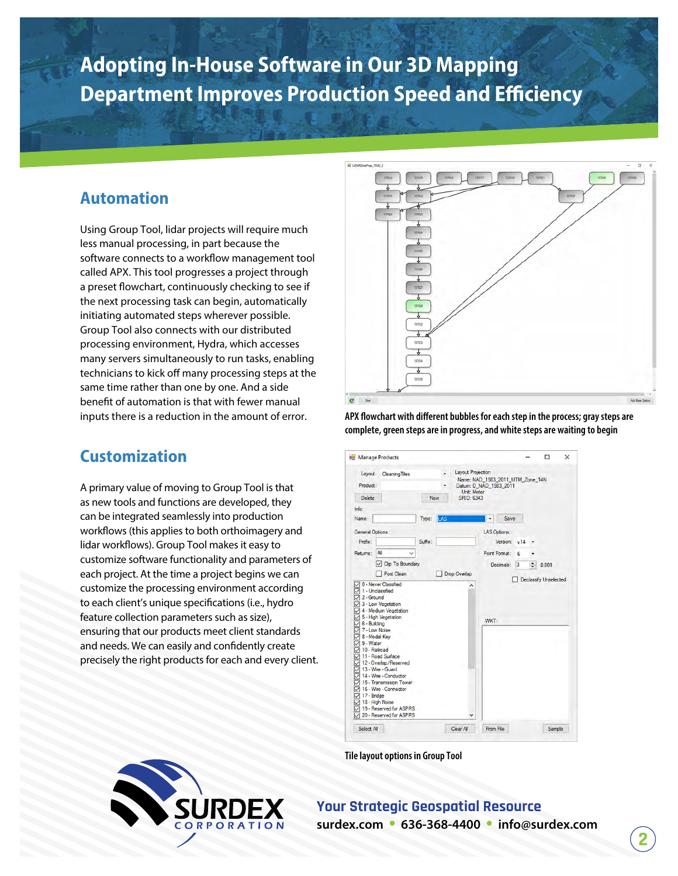### **Adopting In-House Software in Our 3D Mapping Department Improves Production Speed and Efficiency**

#### **Automation**

Using Group Tool, lidar projects will require much less manual processing, in part because the software connects to a workflow management tool called APX. This tool progresses a project through a preset flowchart, continuously checking to see if the next processing task can begin, automatically initiating automated steps wherever possible. Group Tool also connects with our distributed processing environment, Hydra, which accesses many servers simultaneously to run tasks, enabling technicians to kick off many processing steps at the same time rather than one by one. And a side benefit of automation is that with fewer manual inputs there is a reduction in the amount of error.

#### **Customization**

A primary value of moving to Group Tool is that as new tools and functions are developed, they can be integrated seamlessly into production workflows (this applies to both orthoimagery and lidar workflows). Group Tool makes it easy to customize software functionality and parameters of each project. At the time a project begins we can customize the processing environment according to each client's unique specifications (i.e., hydro feature collection parameters such as size), ensuring that our products meet client standards and needs. We can easily and confidently create precisely the right products for each and every client.



APX flowchart with different bubbles for each step in the process; gray steps are **complete, green steps are in progress, and white steps are waiting to begin**



**Tile layout options in Group Tool**



**Your Strategic Geospatial Resource surdex.com • 636-368-4400 • info@surdex.com**